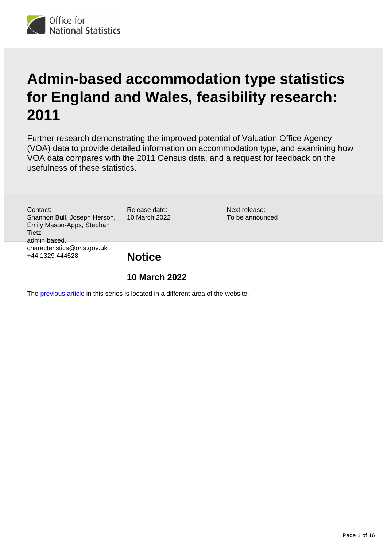

# **Admin-based accommodation type statistics for England and Wales, feasibility research: 2011**

Further research demonstrating the improved potential of Valuation Office Agency (VOA) data to provide detailed information on accommodation type, and examining how VOA data compares with the 2011 Census data, and a request for feedback on the usefulness of these statistics.

Contact: Shannon Bull, Joseph Herson, Emily Mason-Apps, Stephan **Tietz** admin.based. characteristics@ons.gov.uk +44 1329 444528

Release date: 10 March 2022 Next release: To be announced

**Notice**

## **10 March 2022**

The [previous article](https://www.ons.gov.uk/peoplepopulationandcommunity/housing/methodologies/adminbasedstatisticsforpropertytypefeasibilityresearchenglandandwales) in this series is located in a different area of the website.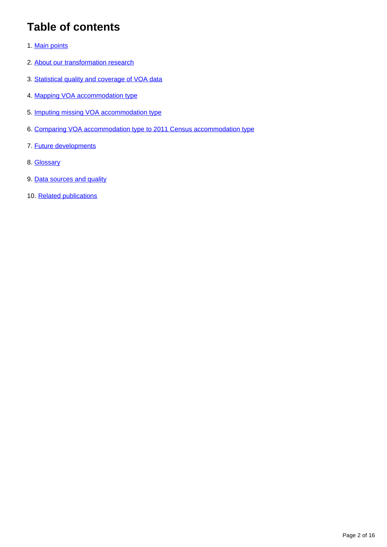# **Table of contents**

- 1. [Main points](#page-2-0)
- 2. [About our transformation research](#page-2-1)
- 3. [Statistical quality and coverage of VOA data](#page-3-0)
- 4. [Mapping VOA accommodation type](#page-4-0)
- 5. [Imputing missing VOA accommodation type](#page-7-0)
- 6. [Comparing VOA accommodation type to 2011 Census accommodation type](#page-8-0)
- 7. [Future developments](#page-10-0)
- 8. [Glossary](#page-10-1)
- 9. [Data sources and quality](#page-14-0)
- 10. [Related publications](#page-15-0)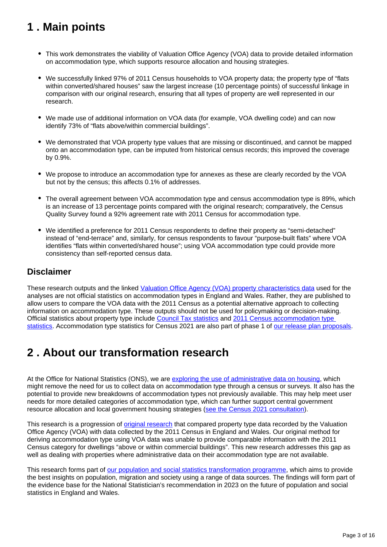# <span id="page-2-0"></span>**1 . Main points**

- This work demonstrates the viability of Valuation Office Agency (VOA) data to provide detailed information on accommodation type, which supports resource allocation and housing strategies.
- We successfully linked 97% of 2011 Census households to VOA property data; the property type of "flats within converted/shared houses" saw the largest increase (10 percentage points) of successful linkage in comparison with our original research, ensuring that all types of property are well represented in our research.
- We made use of additional information on VOA data (for example, VOA dwelling code) and can now identify 73% of "flats above/within commercial buildings".
- We demonstrated that VOA property type values that are missing or discontinued, and cannot be mapped onto an accommodation type, can be imputed from historical census records; this improved the coverage by 0.9%.
- We propose to introduce an accommodation type for annexes as these are clearly recorded by the VOA but not by the census; this affects 0.1% of addresses.
- The overall agreement between VOA accommodation type and census accommodation type is 89%, which is an increase of 13 percentage points compared with the original research; comparatively, the Census Quality Survey found a 92% agreement rate with 2011 Census for accommodation type.
- We identified a preference for 2011 Census respondents to define their property as "semi-detached" instead of "end-terrace" and, similarly, for census respondents to favour "purpose-built flats" where VOA identifies "flats within converted/shared house"; using VOA accommodation type could provide more consistency than self-reported census data.

### **Disclaimer**

These research outputs and the linked [Valuation Office Agency \(VOA\) property characteristics data](https://www.ons.gov.uk/census/censustransformationprogramme/administrativedatacensusproject/datasourceoverviews/valuationofficeagencydata) used for the analyses are not official statistics on accommodation types in England and Wales. Rather, they are published to allow users to compare the VOA data with the 2011 Census as a potential alternative approach to collecting information on accommodation type. These outputs should not be used for policymaking or decision-making. Official statistics about property type include [Council Tax statistics](https://www.gov.uk/government/collections/valuation-office-agency-council-tax-statistics) and [2011 Census accommodation type](https://www.nomisweb.co.uk/census/2011/qs402ew)  [statistics.](https://www.nomisweb.co.uk/census/2011/qs402ew) Accommodation type statistics for Census 2021 are also part of phase 1 of [our release plan proposals](https://www.ons.gov.uk/census/censustransformationprogramme/census2021outputs/releaseplans).

## <span id="page-2-1"></span>**2 . About our transformation research**

At the Office for National Statistics (ONS), we are [exploring the use of administrative data on housing](https://www.ons.gov.uk/census/censustransformationprogramme/administrativedatacensusproject/administrativedatacensusresearchoutputs/housingcharacteristics), which might remove the need for us to collect data on accommodation type through a census or surveys. It also has the potential to provide new breakdowns of accommodation types not previously available. This may help meet user needs for more detailed categories of accommodation type, which can further support central government resource allocation and local government housing strategies [\(see the Census 2021 consultation](https://www.ons.gov.uk/census/censustransformationprogramme/consultations/the2021censusinitialviewoncontentforenglandandwales)).

This research is a progression of [original research](https://www.ons.gov.uk/peoplepopulationandcommunity/housing/methodologies/adminbasedstatisticsforpropertytypefeasibilityresearchenglandandwales) that compared property type data recorded by the Valuation Office Agency (VOA) with data collected by the 2011 Census in England and Wales. Our original method for deriving accommodation type using VOA data was unable to provide comparable information with the 2011 Census category for dwellings "above or within commercial buildings". This new research addresses this gap as well as dealing with properties where administrative data on their accommodation type are not available.

This research forms part of [our population and social statistics transformation programme](https://www.ons.gov.uk/census/censustransformationprogramme/administrativedatacensusproject/administrativedatacensusannualassessments), which aims to provide the best insights on population, migration and society using a range of data sources. The findings will form part of the evidence base for the National Statistician's recommendation in 2023 on the future of population and social statistics in England and Wales.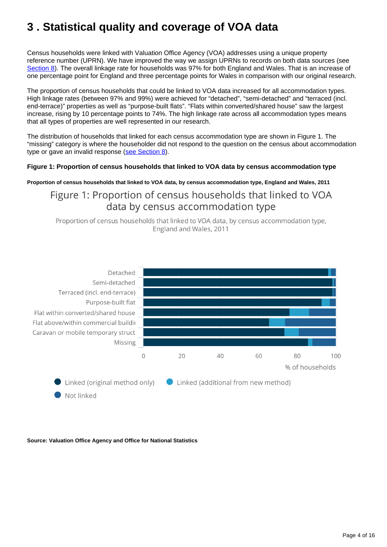# <span id="page-3-0"></span>**3 . Statistical quality and coverage of VOA data**

Census households were linked with Valuation Office Agency (VOA) addresses using a unique property reference number (UPRN). We have improved the way we assign UPRNs to records on both data sources (see [Section 8](https://www.ons.gov.uk/peoplepopulationandcommunity/housing/methodologies/adminbasedaccommodationtypestatisticsforenglandandwalesfeasibilityresearch2011#glossary)). The overall linkage rate for households was 97% for both England and Wales. That is an increase of one percentage point for England and three percentage points for Wales in comparison with our original research.

The proportion of census households that could be linked to VOA data increased for all accommodation types. High linkage rates (between 97% and 99%) were achieved for "detached", "semi-detached" and "terraced (incl. end-terrace)" properties as well as "purpose-built flats". "Flats within converted/shared house" saw the largest increase, rising by 10 percentage points to 74%. The high linkage rate across all accommodation types means that all types of properties are well represented in our research.

The distribution of households that linked for each census accommodation type are shown in Figure 1. The "missing" category is where the householder did not respond to the question on the census about accommodation type or gave an invalid response [\(see Section 8](https://www.ons.gov.uk/peoplepopulationandcommunity/housing/methodologies/adminbasedaccommodationtypestatisticsforenglandandwalesfeasibilityresearch2011#glossary)).

### **Figure 1: Proportion of census households that linked to VOA data by census accommodation type**

**Proportion of census households that linked to VOA data, by census accommodation type, England and Wales, 2011**

## Figure 1: Proportion of census households that linked to VOA data by census accommodation type

Proportion of census households that linked to VOA data, by census accommodation type, England and Wales, 2011



**Source: Valuation Office Agency and Office for National Statistics**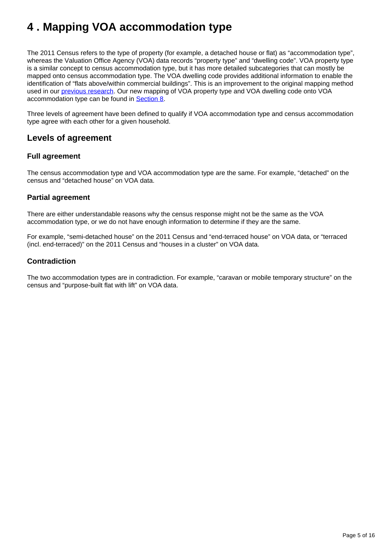# <span id="page-4-0"></span>**4 . Mapping VOA accommodation type**

The 2011 Census refers to the type of property (for example, a detached house or flat) as "accommodation type", whereas the Valuation Office Agency (VOA) data records "property type" and "dwelling code". VOA property type is a similar concept to census accommodation type, but it has more detailed subcategories that can mostly be mapped onto census accommodation type. The VOA dwelling code provides additional information to enable the identification of "flats above/within commercial buildings". This is an improvement to the original mapping method used in our [previous research.](https://www.ons.gov.uk/peoplepopulationandcommunity/housing/methodologies/adminbasedstatisticsforpropertytypefeasibilityresearchenglandandwales) Our new mapping of VOA property type and VOA dwelling code onto VOA accommodation type can be found in [Section 8.](https://www.ons.gov.uk/peoplepopulationandcommunity/housing/methodologies/adminbasedaccommodationtypestatisticsforenglandandwalesfeasibilityresearch2011#glossary)

Three levels of agreement have been defined to qualify if VOA accommodation type and census accommodation type agree with each other for a given household.

### **Levels of agreement**

### **Full agreement**

The census accommodation type and VOA accommodation type are the same. For example, "detached" on the census and "detached house" on VOA data.

### **Partial agreement**

There are either understandable reasons why the census response might not be the same as the VOA accommodation type, or we do not have enough information to determine if they are the same.

For example, "semi-detached house" on the 2011 Census and "end-terraced house" on VOA data, or "terraced (incl. end-terraced)" on the 2011 Census and "houses in a cluster" on VOA data.

### **Contradiction**

The two accommodation types are in contradiction. For example, "caravan or mobile temporary structure" on the census and "purpose-built flat with lift" on VOA data.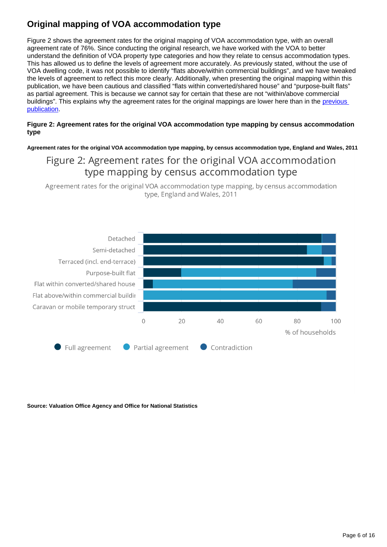## **Original mapping of VOA accommodation type**

Figure 2 shows the agreement rates for the original mapping of VOA accommodation type, with an overall agreement rate of 76%. Since conducting the original research, we have worked with the VOA to better understand the definition of VOA property type categories and how they relate to census accommodation types. This has allowed us to define the levels of agreement more accurately. As previously stated, without the use of VOA dwelling code, it was not possible to identify "flats above/within commercial buildings", and we have tweaked the levels of agreement to reflect this more clearly. Additionally, when presenting the original mapping within this publication, we have been cautious and classified "flats within converted/shared house" and "purpose-built flats" as partial agreement. This is because we cannot say for certain that these are not "within/above commercial buildings". This explains why the agreement rates for the original mappings are lower here than in the previous [publication](https://www.ons.gov.uk/peoplepopulationandcommunity/housing/methodologies/adminbasedstatisticsforpropertytypefeasibilityresearchenglandandwales#agreement-between-voa-and-2011-census).

### **Figure 2: Agreement rates for the original VOA accommodation type mapping by census accommodation type**

**Agreement rates for the original VOA accommodation type mapping, by census accommodation type, England and Wales, 2011**

## Figure 2: Agreement rates for the original VOA accommodation type mapping by census accommodation type

Agreement rates for the original VOA accommodation type mapping, by census accommodation type, England and Wales, 2011



**Source: Valuation Office Agency and Office for National Statistics**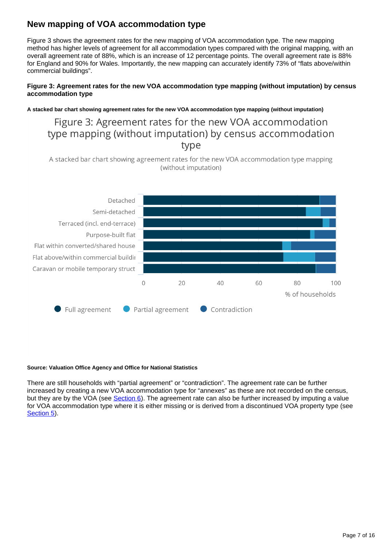## **New mapping of VOA accommodation type**

Figure 3 shows the agreement rates for the new mapping of VOA accommodation type. The new mapping method has higher levels of agreement for all accommodation types compared with the original mapping, with an overall agreement rate of 88%, which is an increase of 12 percentage points. The overall agreement rate is 88% for England and 90% for Wales. Importantly, the new mapping can accurately identify 73% of "flats above/within commercial buildings".

### **Figure 3: Agreement rates for the new VOA accommodation type mapping (without imputation) by census accommodation type**

### **A stacked bar chart showing agreement rates for the new VOA accommodation type mapping (without imputation)**

## Figure 3: Agreement rates for the new VOA accommodation type mapping (without imputation) by census accommodation type

A stacked bar chart showing agreement rates for the new VOA accommodation type mapping (without imputation)



#### **Source: Valuation Office Agency and Office for National Statistics**

There are still households with "partial agreement" or "contradiction". The agreement rate can be further increased by creating a new VOA accommodation type for "annexes" as these are not recorded on the census, but they are by the VOA (see [Section 6\)](https://www.ons.gov.uk/peoplepopulationandcommunity/housing/methodologies/adminbasedaccommodationtypestatisticsforenglandandwalesfeasibilityresearch2011#comparing-voa-accommodation-type-to-2011-census-accommodation-type). The agreement rate can also be further increased by imputing a value for VOA accommodation type where it is either missing or is derived from a discontinued VOA property type (see [Section 5](https://www.ons.gov.uk/peoplepopulationandcommunity/housing/methodologies/adminbasedaccommodationtypestatisticsforenglandandwalesfeasibilityresearch2011#imputing-missing-voa-accommodation-type)).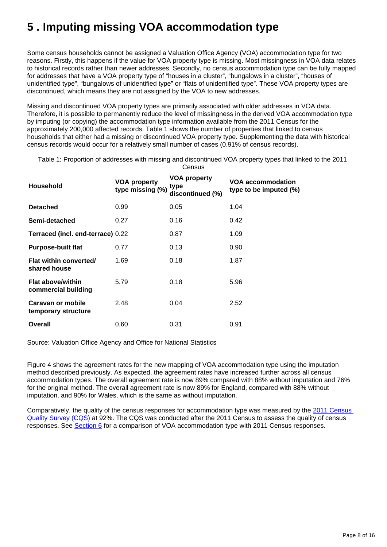# <span id="page-7-0"></span>**5 . Imputing missing VOA accommodation type**

Some census households cannot be assigned a Valuation Office Agency (VOA) accommodation type for two reasons. Firstly, this happens if the value for VOA property type is missing. Most missingness in VOA data relates to historical records rather than newer addresses. Secondly, no census accommodation type can be fully mapped for addresses that have a VOA property type of "houses in a cluster", "bungalows in a cluster", "houses of unidentified type", "bungalows of unidentified type" or "flats of unidentified type". These VOA property types are discontinued, which means they are not assigned by the VOA to new addresses.

Missing and discontinued VOA property types are primarily associated with older addresses in VOA data. Therefore, it is possible to permanently reduce the level of missingness in the derived VOA accommodation type by imputing (or copying) the accommodation type information available from the 2011 Census for the approximately 200,000 affected records. Table 1 shows the number of properties that linked to census households that either had a missing or discontinued VOA property type. Supplementing the data with historical census records would occur for a relatively small number of cases (0.91% of census records).

Table 1: Proportion of addresses with missing and discontinued VOA property types that linked to the 2011 **Census** 

| <b>Household</b>                                | <b>VOA property</b><br>type missing (%) | VOA property<br>type<br>discontinued (%) | VOA accommodation<br>type to be imputed (%) |
|-------------------------------------------------|-----------------------------------------|------------------------------------------|---------------------------------------------|
| <b>Detached</b>                                 | 0.99                                    | 0.05                                     | 1.04                                        |
| Semi-detached                                   | 0.27                                    | 0.16                                     | 0.42                                        |
| Terraced (incl. end-terrace) 0.22               |                                         | 0.87                                     | 1.09                                        |
| <b>Purpose-built flat</b>                       | 0.77                                    | 0.13                                     | 0.90                                        |
| Flat within converted/<br>shared house          | 1.69                                    | 0.18                                     | 1.87                                        |
| <b>Flat above/within</b><br>commercial building | 5.79                                    | 0.18                                     | 5.96                                        |
| Caravan or mobile<br>temporary structure        | 2.48                                    | 0.04                                     | 2.52                                        |
| Overall                                         | 0.60                                    | 0.31                                     | 0.91                                        |

Source: Valuation Office Agency and Office for National Statistics

Figure 4 shows the agreement rates for the new mapping of VOA accommodation type using the imputation method described previously. As expected, the agreement rates have increased further across all census accommodation types. The overall agreement rate is now 89% compared with 88% without imputation and 76% for the original method. The overall agreement rate is now 89% for England, compared with 88% without imputation, and 90% for Wales, which is the same as without imputation.

Comparatively, the quality of the census responses for accommodation type was measured by the [2011 Census](http://webarchive.nationalarchives.gov.uk/20160105160709/http:/ons.gov.uk/ons/guide-method/census/2011/census-data/2011-census-user-guide/quality-and-methods/assessing-accuracy-of-responses--census-quality-survey-/index.html)  [Quality Survey \(CQS\)](http://webarchive.nationalarchives.gov.uk/20160105160709/http:/ons.gov.uk/ons/guide-method/census/2011/census-data/2011-census-user-guide/quality-and-methods/assessing-accuracy-of-responses--census-quality-survey-/index.html) at 92%. The CQS was conducted after the 2011 Census to assess the quality of census responses. See [Section 6](https://www.ons.gov.uk/peoplepopulationandcommunity/housing/methodologies/adminbasedaccommodationtypestatisticsforenglandandwalesfeasibilityresearch2011#comparing-voa-accommodation-type-to-2011-census-accommodation-type) for a comparison of VOA accommodation type with 2011 Census responses.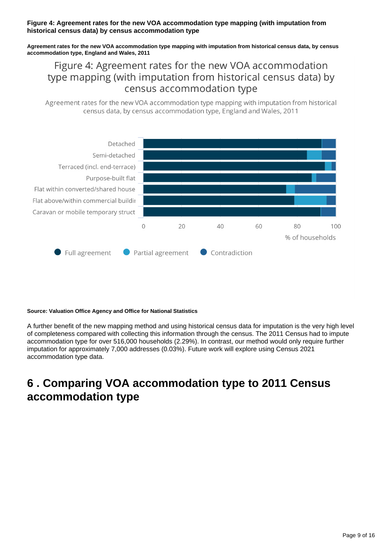### **Figure 4: Agreement rates for the new VOA accommodation type mapping (with imputation from historical census data) by census accommodation type**

**Agreement rates for the new VOA accommodation type mapping with imputation from historical census data, by census accommodation type, England and Wales, 2011**

Figure 4: Agreement rates for the new VOA accommodation type mapping (with imputation from historical census data) by census accommodation type

Agreement rates for the new VOA accommodation type mapping with imputation from historical census data, by census accommodation type, England and Wales, 2011



#### **Source: Valuation Office Agency and Office for National Statistics**

A further benefit of the new mapping method and using historical census data for imputation is the very high level of completeness compared with collecting this information through the census. The 2011 Census had to impute accommodation type for over 516,000 households (2.29%). In contrast, our method would only require further imputation for approximately 7,000 addresses (0.03%). Future work will explore using Census 2021 accommodation type data.

## <span id="page-8-0"></span>**6 . Comparing VOA accommodation type to 2011 Census accommodation type**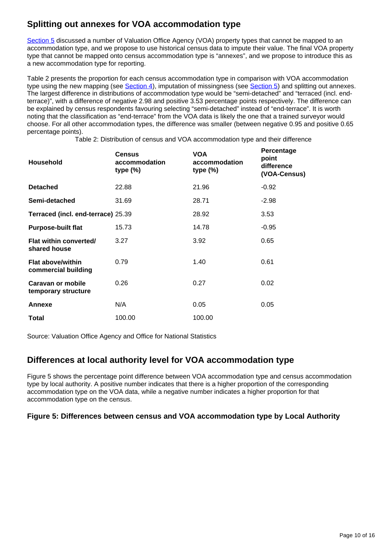## **Splitting out annexes for VOA accommodation type**

[Section 5](https://www.ons.gov.uk/peoplepopulationandcommunity/housing/methodologies/adminbasedaccommodationtypestatisticsforenglandandwalesfeasibilityresearch2011#imputing-missing-voa-accommodation-type) discussed a number of Valuation Office Agency (VOA) property types that cannot be mapped to an accommodation type, and we propose to use historical census data to impute their value. The final VOA property type that cannot be mapped onto census accommodation type is "annexes", and we propose to introduce this as a new accommodation type for reporting.

Table 2 presents the proportion for each census accommodation type in comparison with VOA accommodation type using the new mapping (see  $Section 4$ ), imputation of missingness (see  $Section 5$ ) and splitting out annexes. The largest difference in distributions of accommodation type would be "semi-detached" and "terraced (incl. endterrace)", with a difference of negative 2.98 and positive 3.53 percentage points respectively. The difference can be explained by census respondents favouring selecting "semi-detached" instead of "end-terrace". It is worth noting that the classification as "end-terrace" from the VOA data is likely the one that a trained surveyor would choose. For all other accommodation types, the difference was smaller (between negative 0.95 and positive 0.65 percentage points).

Table 2: Distribution of census and VOA accommodation type and their difference

| Household                                       | Census<br>accommodation<br>type $(\%)$ | <b>VOA</b><br>accommodation<br>type $(\%)$ | Percentage<br>point<br>difference<br>(VOA-Census) |
|-------------------------------------------------|----------------------------------------|--------------------------------------------|---------------------------------------------------|
| <b>Detached</b>                                 | 22.88                                  | 21.96                                      | $-0.92$                                           |
| Semi-detached                                   | 31.69                                  | 28.71                                      | $-2.98$                                           |
| Terraced (incl. end-terrace) 25.39              |                                        | 28.92                                      | 3.53                                              |
| <b>Purpose-built flat</b>                       | 15.73                                  | 14.78                                      | $-0.95$                                           |
| Flat within converted/<br>shared house          | 3.27                                   | 3.92                                       | 0.65                                              |
| <b>Flat above/within</b><br>commercial building | 0.79                                   | 1.40                                       | 0.61                                              |
| Caravan or mobile<br>temporary structure        | 0.26                                   | 0.27                                       | 0.02                                              |
| Annexe                                          | N/A                                    | 0.05                                       | 0.05                                              |
| Total                                           | 100.00                                 | 100.00                                     |                                                   |

Source: Valuation Office Agency and Office for National Statistics

## **Differences at local authority level for VOA accommodation type**

Figure 5 shows the percentage point difference between VOA accommodation type and census accommodation type by local authority. A positive number indicates that there is a higher proportion of the corresponding accommodation type on the VOA data, while a negative number indicates a higher proportion for that accommodation type on the census.

### **Figure 5: Differences between census and VOA accommodation type by Local Authority**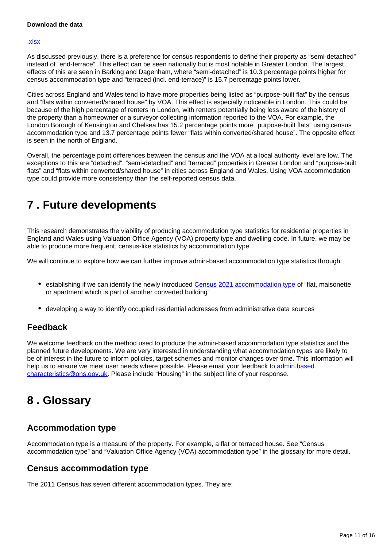#### [.xlsx](https://www.ons.gov.uk/visualisations/dvc1767/datadownload.xlsx)

As discussed previously, there is a preference for census respondents to define their property as "semi-detached" instead of "end-terrace". This effect can be seen nationally but is most notable in Greater London. The largest effects of this are seen in Barking and Dagenham, where "semi-detached" is 10.3 percentage points higher for census accommodation type and "terraced (incl. end-terrace)" is 15.7 percentage points lower.

Cities across England and Wales tend to have more properties being listed as "purpose-built flat" by the census and "flats within converted/shared house" by VOA. This effect is especially noticeable in London. This could be because of the high percentage of renters in London, with renters potentially being less aware of the history of the property than a homeowner or a surveyor collecting information reported to the VOA. For example, the London Borough of Kensington and Chelsea has 15.2 percentage points more "purpose-built flats" using census accommodation type and 13.7 percentage points fewer "flats within converted/shared house". The opposite effect is seen in the north of England.

Overall, the percentage point differences between the census and the VOA at a local authority level are low. The exceptions to this are "detached", "semi-detached" and "terraced" properties in Greater London and "purpose-built flats" and "flats within converted/shared house" in cities across England and Wales. Using VOA accommodation type could provide more consistency than the self-reported census data.

# <span id="page-10-0"></span>**7 . Future developments**

This research demonstrates the viability of producing accommodation type statistics for residential properties in England and Wales using Valuation Office Agency (VOA) property type and dwelling code. In future, we may be able to produce more frequent, census-like statistics by accommodation type.

We will continue to explore how we can further improve admin-based accommodation type statistics through:

- establishing if we can identify the newly introduced [Census 2021 accommodation type](https://census.gov.uk/help/how-to-answer-questions/paper-questions-help/what-type-of-accommodation-is-this) of "flat, maisonette or apartment which is part of another converted building"
- developing a way to identify occupied residential addresses from administrative data sources

### **Feedback**

We welcome feedback on the method used to produce the admin-based accommodation type statistics and the planned future developments. We are very interested in understanding what accommodation types are likely to be of interest in the future to inform policies, target schemes and monitor changes over time. This information will help us to ensure we meet user needs where possible. Please email your feedback to [admin.based.](mailto:admin.based.characteristics@ons.gov.uk) [characteristics@ons.gov.uk](mailto:admin.based.characteristics@ons.gov.uk). Please include "Housing" in the subject line of your response.

## <span id="page-10-1"></span>**8 . Glossary**

### **Accommodation type**

Accommodation type is a measure of the property. For example, a flat or terraced house. See "Census accommodation type" and "Valuation Office Agency (VOA) accommodation type" in the glossary for more detail.

### **Census accommodation type**

The 2011 Census has seven different accommodation types. They are: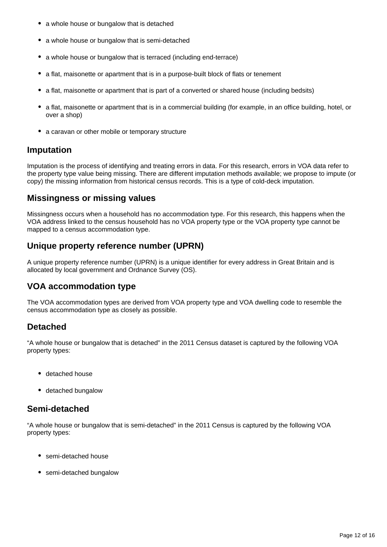- a whole house or bungalow that is detached
- a whole house or bungalow that is semi-detached
- a whole house or bungalow that is terraced (including end-terrace)
- a flat, maisonette or apartment that is in a purpose-built block of flats or tenement
- a flat, maisonette or apartment that is part of a converted or shared house (including bedsits)
- a flat, maisonette or apartment that is in a commercial building (for example, in an office building, hotel, or over a shop)
- a caravan or other mobile or temporary structure

### **Imputation**

Imputation is the process of identifying and treating errors in data. For this research, errors in VOA data refer to the property type value being missing. There are different imputation methods available; we propose to impute (or copy) the missing information from historical census records. This is a type of cold-deck imputation.

## **Missingness or missing values**

Missingness occurs when a household has no accommodation type. For this research, this happens when the VOA address linked to the census household has no VOA property type or the VOA property type cannot be mapped to a census accommodation type.

## **Unique property reference number (UPRN)**

A unique property reference number (UPRN) is a unique identifier for every address in Great Britain and is allocated by local government and Ordnance Survey (OS).

## **VOA accommodation type**

The VOA accommodation types are derived from VOA property type and VOA dwelling code to resemble the census accommodation type as closely as possible.

## **Detached**

"A whole house or bungalow that is detached" in the 2011 Census dataset is captured by the following VOA property types:

- detached house
- detached bungalow

## **Semi-detached**

"A whole house or bungalow that is semi-detached" in the 2011 Census is captured by the following VOA property types:

- semi-detached house
- semi-detached bungalow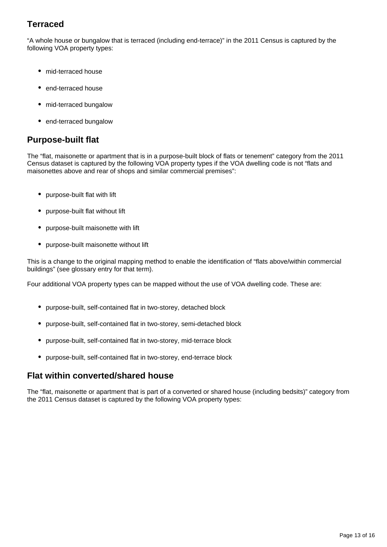## **Terraced**

"A whole house or bungalow that is terraced (including end-terrace)" in the 2011 Census is captured by the following VOA property types:

- mid-terraced house
- end-terraced house
- mid-terraced bungalow
- end-terraced bungalow

### **Purpose-built flat**

The "flat, maisonette or apartment that is in a purpose-built block of flats or tenement" category from the 2011 Census dataset is captured by the following VOA property types if the VOA dwelling code is not "flats and maisonettes above and rear of shops and similar commercial premises":

- purpose-built flat with lift
- purpose-built flat without lift
- purpose-built maisonette with lift
- purpose-built maisonette without lift

This is a change to the original mapping method to enable the identification of "flats above/within commercial buildings" (see glossary entry for that term).

Four additional VOA property types can be mapped without the use of VOA dwelling code. These are:

- purpose-built, self-contained flat in two-storey, detached block
- purpose-built, self-contained flat in two-storey, semi-detached block
- purpose-built, self-contained flat in two-storey, mid-terrace block
- purpose-built, self-contained flat in two-storey, end-terrace block

### **Flat within converted/shared house**

The "flat, maisonette or apartment that is part of a converted or shared house (including bedsits)" category from the 2011 Census dataset is captured by the following VOA property types: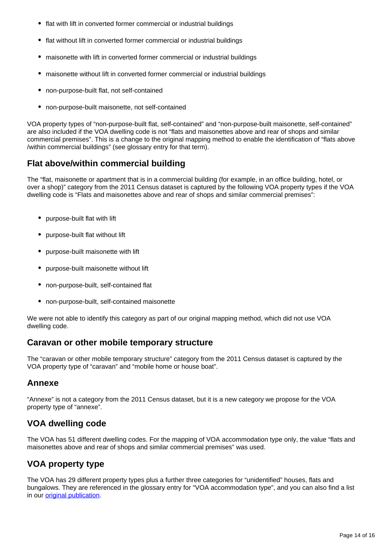- flat with lift in converted former commercial or industrial buildings
- flat without lift in converted former commercial or industrial buildings
- maisonette with lift in converted former commercial or industrial buildings
- maisonette without lift in converted former commercial or industrial buildings
- non-purpose-built flat, not self-contained
- non-purpose-built maisonette, not self-contained  $\bullet$

VOA property types of "non-purpose-built flat, self-contained" and "non-purpose-built maisonette, self-contained" are also included if the VOA dwelling code is not "flats and maisonettes above and rear of shops and similar commercial premises". This is a change to the original mapping method to enable the identification of "flats above /within commercial buildings" (see glossary entry for that term).

## **Flat above/within commercial building**

The "flat, maisonette or apartment that is in a commercial building (for example, in an office building, hotel, or over a shop)" category from the 2011 Census dataset is captured by the following VOA property types if the VOA dwelling code is "Flats and maisonettes above and rear of shops and similar commercial premises":

- purpose-built flat with lift
- purpose-built flat without lift
- purpose-built maisonette with lift
- purpose-built maisonette without lift
- non-purpose-built, self-contained flat
- non-purpose-built, self-contained maisonette

We were not able to identify this category as part of our original mapping method, which did not use VOA dwelling code.

### **Caravan or other mobile temporary structure**

The "caravan or other mobile temporary structure" category from the 2011 Census dataset is captured by the VOA property type of "caravan" and "mobile home or house boat".

### **Annexe**

"Annexe" is not a category from the 2011 Census dataset, but it is a new category we propose for the VOA property type of "annexe".

## **VOA dwelling code**

The VOA has 51 different dwelling codes. For the mapping of VOA accommodation type only, the value "flats and maisonettes above and rear of shops and similar commercial premises" was used.

## **VOA property type**

The VOA has 29 different property types plus a further three categories for "unidentified" houses, flats and bungalows. They are referenced in the glossary entry for "VOA accommodation type", and you can also find a list in our **[original publication](https://www.ons.gov.uk/peoplepopulationandcommunity/housing/methodologies/adminbasedstatisticsforpropertytypefeasibilityresearchenglandandwales)**.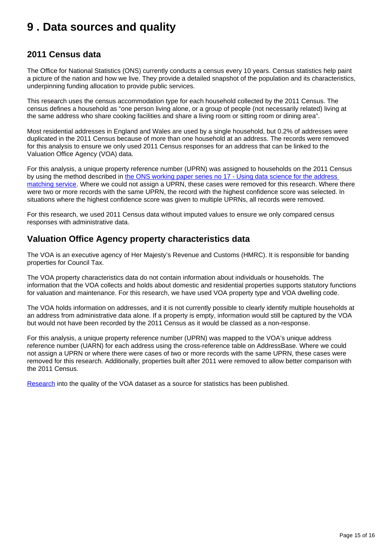## <span id="page-14-0"></span>**9 . Data sources and quality**

## **2011 Census data**

The Office for National Statistics (ONS) currently conducts a census every 10 years. Census statistics help paint a picture of the nation and how we live. They provide a detailed snapshot of the population and its characteristics, underpinning funding allocation to provide public services.

This research uses the census accommodation type for each household collected by the 2011 Census. The census defines a household as "one person living alone, or a group of people (not necessarily related) living at the same address who share cooking facilities and share a living room or sitting room or dining area".

Most residential addresses in England and Wales are used by a single household, but 0.2% of addresses were duplicated in the 2011 Census because of more than one household at an address. The records were removed for this analysis to ensure we only used 2011 Census responses for an address that can be linked to the Valuation Office Agency (VOA) data.

For this analysis, a unique property reference number (UPRN) was assigned to households on the 2011 Census by using the method described in [the ONS working paper series no 17 - Using data science for the address](https://www.ons.gov.uk/methodology/methodologicalpublications/generalmethodology/onsworkingpaperseries/onsworkingpaperseriesno17usingdatasciencefortheaddressmatchingservice)  [matching service.](https://www.ons.gov.uk/methodology/methodologicalpublications/generalmethodology/onsworkingpaperseries/onsworkingpaperseriesno17usingdatasciencefortheaddressmatchingservice) Where we could not assign a UPRN, these cases were removed for this research. Where there were two or more records with the same UPRN, the record with the highest confidence score was selected. In situations where the highest confidence score was given to multiple UPRNs, all records were removed.

For this research, we used 2011 Census data without imputed values to ensure we only compared census responses with administrative data.

## **Valuation Office Agency property characteristics data**

The VOA is an executive agency of Her Majesty's Revenue and Customs (HMRC). It is responsible for banding properties for Council Tax.

The VOA property characteristics data do not contain information about individuals or households. The information that the VOA collects and holds about domestic and residential properties supports statutory functions for valuation and maintenance. For this research, we have used VOA property type and VOA dwelling code.

The VOA holds information on addresses, and it is not currently possible to clearly identify multiple households at an address from administrative data alone. If a property is empty, information would still be captured by the VOA but would not have been recorded by the 2011 Census as it would be classed as a non-response.

For this analysis, a unique property reference number (UPRN) was mapped to the VOA's unique address reference number (UARN) for each address using the cross-reference table on AddressBase. Where we could not assign a UPRN or where there were cases of two or more records with the same UPRN, these cases were removed for this research. Additionally, properties built after 2011 were removed to allow better comparison with the 2011 Census.

[Research](https://www.ons.gov.uk/census/censustransformationprogramme/administrativedatacensusproject/datasourceoverviews/valuationofficeagencydata) into the quality of the VOA dataset as a source for statistics has been published.